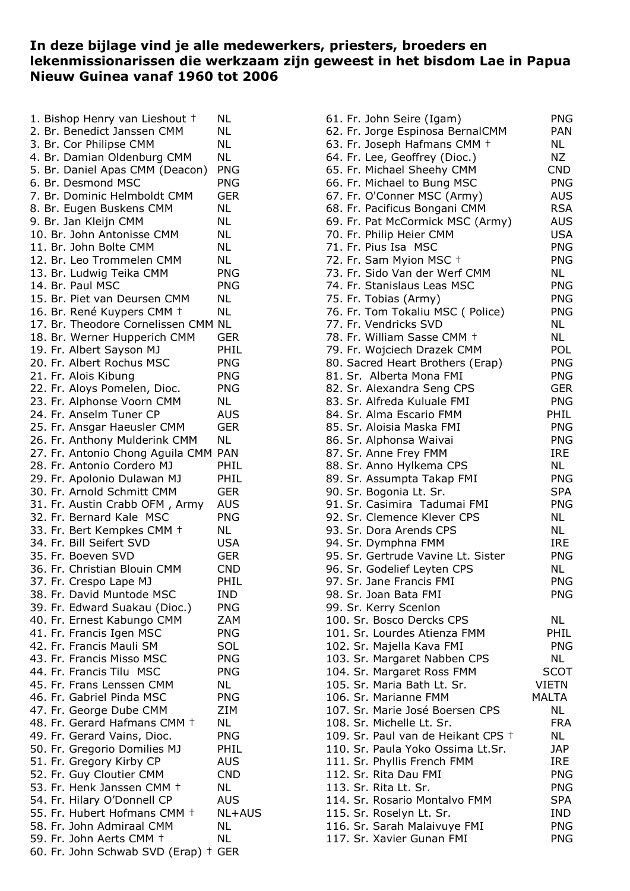## **In deze bijlage vind je alle medewerkers, priesters, broeders en lekenmissionarissen die werkzaam zijn geweest in het bisdom Lae in Papua Nieuw Guinea vanaf 1960 tot 2006**

| 1. Bishop Henry van Lieshout +      | ΝL            |
|-------------------------------------|---------------|
| 2. Br. Benedict Janssen CMM         | NL            |
| 3. Br. Cor Philipse CMM             | NL            |
| 4. Br. Damian Oldenburg CMM         | ΝL            |
| 5. Br. Daniel Apas CMM (Deacon)     | <b>PNG</b>    |
| 6. Br. Desmond MSC                  | <b>PNG</b>    |
| 7. Br. Dominic Helmboldt CMM        | GER           |
| 8. Br. Eugen Buskens CMM            | NL            |
| 9. Br. Jan Kleijn CMM               | NL            |
| 10. Br. John Antonisse CMM          | <b>NL</b>     |
|                                     |               |
| 11. Br. John Bolte CMM              | NL            |
| 12. Br. Leo Trommelen CMM           | <b>NL</b>     |
| 13. Br. Ludwig Teika CMM            | <b>PNG</b>    |
| 14. Br. Paul MSC                    | <b>PNG</b>    |
| 15. Br. Piet van Deursen CMM        | ΝL            |
| 16. Br. René Kuypers CMM +          | NL            |
| 17. Br. Theodore Cornelissen CMM NL |               |
| 18. Br. Werner Hupperich CMM        | GER           |
| 19. Fr. Albert Sayson MJ            | PHIL          |
| 20. Fr. Albert Rochus MSC           | <b>PNG</b>    |
| 21. Fr. Alois Kibung                | <b>PNG</b>    |
| 22. Fr. Aloys Pomelen, Dioc.        | <b>PNG</b>    |
| 23. Fr. Alphonse Voorn CMM          | ΝL            |
| 24. Fr. Anselm Tuner CP             | AUS           |
| 25. Fr. Ansgar Haeusler CMM         | GER           |
| 26. Fr. Anthony Mulderink CMM       | ΝL            |
| 27. Fr. Antonio Chong Aguila CMM    | <b>PAN</b>    |
| 28. Fr. Antonio Cordero MJ          | PHIL          |
| 29. Fr. Apolonio Dulawan MJ         | PHIL          |
| 30. Fr. Arnold Schmitt CMM          |               |
|                                     | GER           |
| 31. Fr. Austin Crabb OFM, Army      | <b>AUS</b>    |
| 32. Fr. Bernard Kale MSC            | PNG           |
| 33. Fr. Bert Kempkes CMM +          | NL            |
| 34. Fr. Bill Seifert SVD            | USA           |
| 35. Fr. Boeven SVD                  | GER           |
| 36. Fr. Christian Blouin CMM        | CND           |
| 37. Fr. Crespo Lape MJ              | PHIL          |
| 38. Fr. David Muntode MSC           | <b>IND</b>    |
| 39. Fr. Edward Suakau (Dioc.)       | <b>PNG</b>    |
| 40. Fr. Ernest Kabungo CMM          | <b>ZAM</b>    |
| 41. Fr. Francis Igen MSC            | <b>PNG</b>    |
| 42. Fr. Francis Mauli SM            | SOL           |
| 43. Fr. Francis Misso MSC           | <b>PNG</b>    |
| 44. Fr. Francis Tilu MSC            | <b>PNG</b>    |
| 45. Fr. Frans Lenssen CMM           | NL            |
| 46. Fr. Gabriel Pinda MSC           | <b>PNG</b>    |
| 47. Fr. George Dube CMM             | ZIM           |
| 48. Fr. Gerard Hafmans CMM +        | ΝL            |
| 49. Fr. Gerard Vains, Dioc.         | <b>PNG</b>    |
| 50. Fr. Gregorio Domilies MJ        | PHIL          |
| 51. Fr. Gregory Kirby CP            | AUS           |
| 52. Fr. Guy Cloutier CMM            | <b>CND</b>    |
| 53. Fr. Henk Janssen CMM +          | ΝL            |
|                                     |               |
| 54. Fr. Hilary O'Donnell CP         | AUS           |
| 55. Fr. Hubert Hofmans CMM +        | <b>NL+AUS</b> |
| 58. Fr. John Admiraal CMM           | NL            |
| 59. Fr. John Aerts CMM +            | NL            |
| 60. Fr. John Schwab SVD (Erap) +    | <b>GER</b>    |

| 61. Fr. John Seire (Igam)          | <b>PNG</b>   |
|------------------------------------|--------------|
| 62. Fr. Jorge Espinosa BernalCMM   | PAN          |
| 63. Fr. Joseph Hafmans CMM +       | <b>NL</b>    |
| 64. Fr. Lee, Geoffrey (Dioc.)      | ΝZ           |
| 65. Fr. Michael Sheehy CMM         | <b>CND</b>   |
| 66. Fr. Michael to Bung MSC        | <b>PNG</b>   |
| 67. Fr. O'Conner MSC (Army)        | <b>AUS</b>   |
| 68. Fr. Pacificus Bongani CMM      | <b>RSA</b>   |
| 69. Fr. Pat McCormick MSC (Army)   | <b>AUS</b>   |
| 70. Fr. Philip Heier CMM           | <b>USA</b>   |
| 71. Fr. Pius Isa MSC               | <b>PNG</b>   |
| 72. Fr. Sam Myion MSC +            | <b>PNG</b>   |
| 73. Fr. Sido Van der Werf CMM      | NL           |
| 74. Fr. Stanislaus Leas MSC        | <b>PNG</b>   |
| 75. Fr. Tobias (Army)              | <b>PNG</b>   |
| 76. Fr. Tom Tokaliu MSC (Police)   | <b>PNG</b>   |
| 77. Fr. Vendricks SVD              | NL           |
| 78. Fr. William Sasse CMM +        | NL           |
| 79. Fr. Wojciech Drazek CMM        | POL          |
| 80. Sacred Heart Brothers (Erap)   | <b>PNG</b>   |
| 81. Sr. Alberta Mona FMI           | <b>PNG</b>   |
| 82. Sr. Alexandra Seng CPS         | <b>GER</b>   |
| 83. Sr. Alfreda Kuluale FMI        | <b>PNG</b>   |
| 84. Sr. Alma Escario FMM           | <b>PHIL</b>  |
| 85. Sr. Aloisia Maska FMI          | <b>PNG</b>   |
| 86. Sr. Alphonsa Waivai            | <b>PNG</b>   |
| 87. Sr. Anne Frey FMM              | IRE          |
| 88. Sr. Anno Hylkema CPS           | NL           |
| 89. Sr. Assumpta Takap FMI         | <b>PNG</b>   |
| 90. Sr. Bogonia Lt. Sr.            | <b>SPA</b>   |
| 91. Sr. Casimira Tadumai FMI       | <b>PNG</b>   |
| 92. Sr. Clemence Klever CPS        | NL           |
| 93. Sr. Dora Arends CPS            | NL           |
| 94. Sr. Dymphna FMM                | <b>IRE</b>   |
| 95. Sr. Gertrude Vavine Lt. Sister | <b>PNG</b>   |
| 96. Sr. Godelief Leyten CPS        | NL           |
| 97. Sr. Jane Francis FMI           | <b>PNG</b>   |
| 98. Sr. Joan Bata FMI              | <b>PNG</b>   |
| 99. Sr. Kerry Scenlon              |              |
| 100. Sr. Bosco Dercks CPS          | ΝL           |
| 101. Sr. Lourdes Atienza FMM       | PHIL         |
| 102. Sr. Majella Kava FMI          | <b>PNG</b>   |
| 103. Sr. Margaret Nabben CPS       | NL           |
| 104. Sr. Margaret Ross FMM         | <b>SCOT</b>  |
| 105. Sr. Maria Bath Lt. Sr.        | <b>VIETN</b> |
| 106. Sr. Marianne FMM              | <b>MALTA</b> |
| 107. Sr. Marie José Boersen CPS    | NL           |
| 108. Sr. Michelle Lt. Sr.          | <b>FRA</b>   |
| 109. Sr. Paul van de Heikant CPS + | NL           |
| 110. Sr. Paula Yoko Ossima Lt.Sr.  | JAP          |
| 111. Sr. Phyllis French FMM        | <b>IRE</b>   |
| 112. Sr. Rita Dau FMI              | <b>PNG</b>   |
| 113. Sr. Rita Lt. Sr.              | <b>PNG</b>   |
| 114. Sr. Rosario Montalvo FMM      | <b>SPA</b>   |
| 115. Sr. Roselyn Lt. Sr.           | IND          |
| 116. Sr. Sarah Malaivuye FMI       | <b>PNG</b>   |
| 117. Sr. Xavier Gunan FMI          | <b>PNG</b>   |